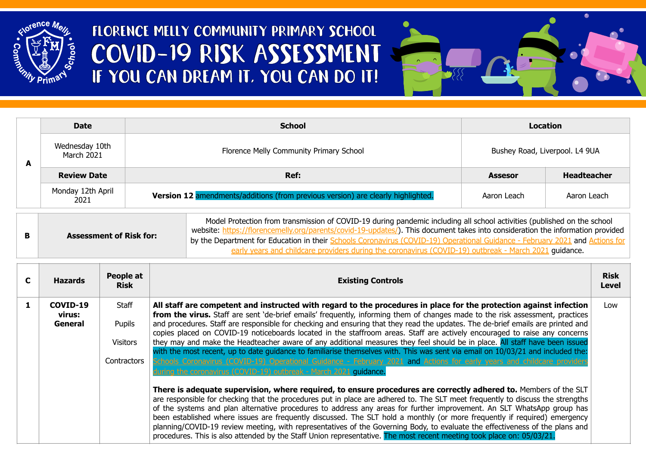

## FLORENCE MELLY COMMUNITY PRIMARY SCHOOL COVID-19 RISK ASSESSMENT IF YOU CAN DREAM IT. YOU CAN DO IT!



|   | <b>Date</b>                  | <b>School</b>                                                                    |                                | <b>Location</b>    |
|---|------------------------------|----------------------------------------------------------------------------------|--------------------------------|--------------------|
| A | Wednesday 10th<br>March 2021 | Florence Melly Community Primary School                                          | Bushey Road, Liverpool. L4 9UA |                    |
|   | <b>Review Date</b>           | Ref:                                                                             | <b>Assesor</b>                 | <b>Headteacher</b> |
|   | Monday 12th April<br>2021    | Version 12 amendments/additions (from previous version) are clearly highlighted. | Aaron Leach                    | Aaron Leach        |

|                                | Model Protection from transmission of COVID-19 during pandemic including all school activities (published on the school<br>website: https://florencemelly.org/parents/covid-19-updates/). This document takes into consideration the information provided |
|--------------------------------|-----------------------------------------------------------------------------------------------------------------------------------------------------------------------------------------------------------------------------------------------------------|
| <b>Assessment of Risk for:</b> | by the Department for Education in their Schools Coronavirus (COVID-19) Operational Guidance - February 2021 and Actions for<br>. auidance.<br>early years and childcare providers during the coronavirus (COVID-19) outbreak - March 2021                |

| <b>Hazards</b>                | People at<br><b>Risk</b>                          | <b>Existing Controls</b>                                                                                                                                                                                                                                                                                                                                                                                                                                                                                                                                                                                                                                                                                                                                                                                                                                                                                                                                                              | <b>Risk</b><br><b>Level</b> |
|-------------------------------|---------------------------------------------------|---------------------------------------------------------------------------------------------------------------------------------------------------------------------------------------------------------------------------------------------------------------------------------------------------------------------------------------------------------------------------------------------------------------------------------------------------------------------------------------------------------------------------------------------------------------------------------------------------------------------------------------------------------------------------------------------------------------------------------------------------------------------------------------------------------------------------------------------------------------------------------------------------------------------------------------------------------------------------------------|-----------------------------|
| COVID-19<br>virus:<br>General | Staff<br>Pupils<br><b>Visitors</b><br>Contractors | All staff are competent and instructed with regard to the procedures in place for the protection against infection<br>from the virus. Staff are sent 'de-brief emails' frequently, informing them of changes made to the risk assessment, practices<br>and procedures. Staff are responsible for checking and ensuring that they read the updates. The de-brief emails are printed and<br>copies placed on COVID-19 noticeboards located in the staffroom areas. Staff are actively encouraged to raise any concerns<br>they may and make the Headteacher aware of any additional measures they feel should be in place. All staff have been issued<br>with the most recent, up to date quidance to familiarise themselves with. This was sent via email on 10/03/21 and included the:<br>Schools Coronavirus (COVID-19) Operational Guidance - February 2021 and Actions for early years and childcare providers<br>uring the coronavirus (COVID-19) outbreak - March 2021 quidance. | Low                         |
|                               |                                                   | There is adequate supervision, where required, to ensure procedures are correctly adhered to. Members of the SLT<br>are responsible for checking that the procedures put in place are adhered to. The SLT meet frequently to discuss the strengths<br>of the systems and plan alternative procedures to address any areas for further improvement. An SLT WhatsApp group has<br>been established where issues are frequently discussed. The SLT hold a monthly (or more frequently if required) emergency<br>planning/COVID-19 review meeting, with representatives of the Governing Body, to evaluate the effectiveness of the plans and<br>procedures. This is also attended by the Staff Union representative. The most recent meeting took place on: 05/03/21.                                                                                                                                                                                                                    |                             |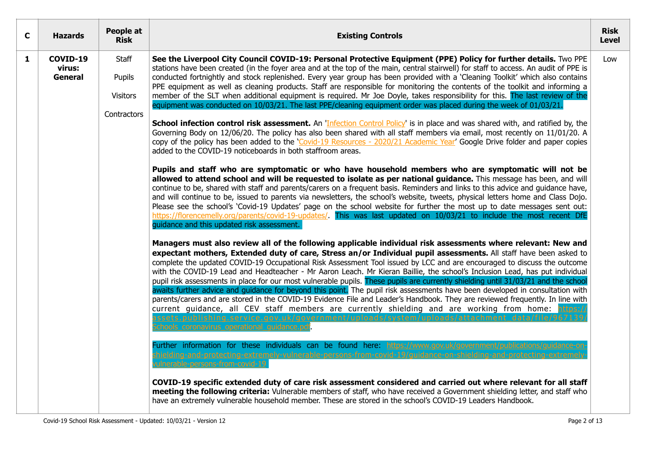| C | <b>Hazards</b>                | People at<br><b>Risk</b>                          | <b>Existing Controls</b>                                                                                                                                                                                                                                                                                                                                                                                                                                                                                                                                                                                                                                                                                                                                                                                                                                                                                                                                                                                                                                                                                                                                                                                                                                                                                                                                                                                                                                                                                                                                                                                                                                                                                                                                                                                                                                                                                                                                                                                                                                                                                                                                                                                                                                                                                                                                                                                                                                                                                                                                                                                                                                                                                                                                                                                                                                                                                                                                                                                                                                                                                                                                                                                                                                                                                                                                                                                                                                                                                                                                                                                                                                                                                                                                                                                         | <b>Risk</b><br><b>Level</b> |
|---|-------------------------------|---------------------------------------------------|------------------------------------------------------------------------------------------------------------------------------------------------------------------------------------------------------------------------------------------------------------------------------------------------------------------------------------------------------------------------------------------------------------------------------------------------------------------------------------------------------------------------------------------------------------------------------------------------------------------------------------------------------------------------------------------------------------------------------------------------------------------------------------------------------------------------------------------------------------------------------------------------------------------------------------------------------------------------------------------------------------------------------------------------------------------------------------------------------------------------------------------------------------------------------------------------------------------------------------------------------------------------------------------------------------------------------------------------------------------------------------------------------------------------------------------------------------------------------------------------------------------------------------------------------------------------------------------------------------------------------------------------------------------------------------------------------------------------------------------------------------------------------------------------------------------------------------------------------------------------------------------------------------------------------------------------------------------------------------------------------------------------------------------------------------------------------------------------------------------------------------------------------------------------------------------------------------------------------------------------------------------------------------------------------------------------------------------------------------------------------------------------------------------------------------------------------------------------------------------------------------------------------------------------------------------------------------------------------------------------------------------------------------------------------------------------------------------------------------------------------------------------------------------------------------------------------------------------------------------------------------------------------------------------------------------------------------------------------------------------------------------------------------------------------------------------------------------------------------------------------------------------------------------------------------------------------------------------------------------------------------------------------------------------------------------------------------------------------------------------------------------------------------------------------------------------------------------------------------------------------------------------------------------------------------------------------------------------------------------------------------------------------------------------------------------------------------------------------------------------------------------------------------------------------------------|-----------------------------|
| 1 | COVID-19<br>virus:<br>General | Staff<br>Pupils<br><b>Visitors</b><br>Contractors | See the Liverpool City Council COVID-19: Personal Protective Equipment (PPE) Policy for further details. Two PPE<br>stations have been created (in the foyer area and at the top of the main, central stairwell) for staff to access. An audit of PPE is<br>conducted fortnightly and stock replenished. Every year group has been provided with a 'Cleaning Toolkit' which also contains<br>PPE equipment as well as cleaning products. Staff are responsible for monitoring the contents of the toolkit and informing a<br>member of the SLT when additional equipment is required. Mr Joe Doyle, takes responsibility for this. The last review of the<br>equipment was conducted on 10/03/21. The last PPE/cleaning equipment order was placed during the week of 01/03/21.<br>School infection control risk assessment. An 'Infection Control Policy' is in place and was shared with, and ratified by, the<br>Governing Body on 12/06/20. The policy has also been shared with all staff members via email, most recently on 11/01/20. A<br>copy of the policy has been added to the 'Covid-19 Resources - 2020/21 Academic Year' Google Drive folder and paper copies<br>added to the COVID-19 noticeboards in both staffroom areas.<br>Pupils and staff who are symptomatic or who have household members who are symptomatic will not be<br>allowed to attend school and will be requested to isolate as per national guidance. This message has been, and will<br>continue to be, shared with staff and parents/carers on a frequent basis. Reminders and links to this advice and guidance have,<br>and will continue to be, issued to parents via newsletters, the school's website, tweets, physical letters home and Class Dojo.<br>Please see the school's 'Covid-19 Updates' page on the school website for further the most up to date messages sent out:<br>https://florencemelly.org/parents/covid-19-updates/. This was last updated on 10/03/21 to include the most recent DfE<br>guidance and this updated risk assessment.<br>Managers must also review all of the following applicable individual risk assessments where relevant: New and<br>expectant mothers, Extended duty of care, Stress an/or Individual pupil assessments. All staff have been asked to<br>complete the updated COVID-19 Occupational Risk Assessment Tool issued by LCC and are encouraged to discuss the outcome<br>with the COVID-19 Lead and Headteacher - Mr Aaron Leach. Mr Kieran Baillie, the school's Inclusion Lead, has put individual<br>pupil risk assessments in place for our most vulnerable pupils. These pupils are currently shielding until 31/03/21 and the school<br>awaits further advice and guidance for beyond this point. The pupil risk assessments have been developed in consultation with<br>parents/carers and are stored in the COVID-19 Evidence File and Leader's Handbook. They are reviewed frequently. In line with<br>current guidance, all CEV staff members are currently shielding and are working from home: https:/<br>assets.publishing.service.gov.uk/government/uploads/system/uploads/attachment_data/file/967139<br>chools coronavirus operational quidance.pdf.<br>Further information for these individuals can be found here: https://www.gov.uk/go<br>nd-protecting-extremely-vulnerable-persons-from-covid-19/quidance-on-shielding-and-protecting-extr<br>ulnerable-persons-from-covid-19<br>COVID-19 specific extended duty of care risk assessment considered and carried out where relevant for all staff<br>meeting the following criteria: Vulnerable members of staff, who have received a Government shielding letter, and staff who<br>have an extremely vulnerable household member. These are stored in the school's COVID-19 Leaders Handbook. | Low                         |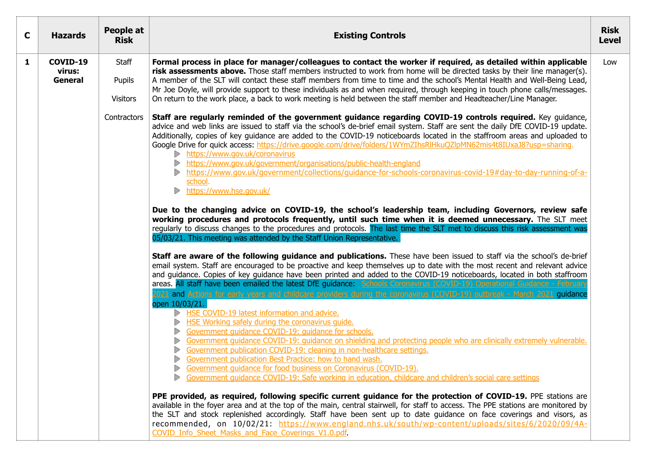| C | <b>Hazards</b>                | People at<br><b>Risk</b>                          | <b>Existing Controls</b>                                                                                                                                                                                                                                                                                                                                                                                                                                                                                                                                                                                                                                                                                                                                                                                                                                                                                                                                                                                                                                                                                                                                                                                                                                                                                                                                                                                                                                                                                                                                                                                                                                                                                                                                                                                                                                                                                                                                                                                                                                                                                                                                                                                                                                                                                                                                                                                                                                                                                                                                                                                                                                                                                                                                                                                                                                                                                                     | <b>Risk</b><br><b>Level</b> |
|---|-------------------------------|---------------------------------------------------|------------------------------------------------------------------------------------------------------------------------------------------------------------------------------------------------------------------------------------------------------------------------------------------------------------------------------------------------------------------------------------------------------------------------------------------------------------------------------------------------------------------------------------------------------------------------------------------------------------------------------------------------------------------------------------------------------------------------------------------------------------------------------------------------------------------------------------------------------------------------------------------------------------------------------------------------------------------------------------------------------------------------------------------------------------------------------------------------------------------------------------------------------------------------------------------------------------------------------------------------------------------------------------------------------------------------------------------------------------------------------------------------------------------------------------------------------------------------------------------------------------------------------------------------------------------------------------------------------------------------------------------------------------------------------------------------------------------------------------------------------------------------------------------------------------------------------------------------------------------------------------------------------------------------------------------------------------------------------------------------------------------------------------------------------------------------------------------------------------------------------------------------------------------------------------------------------------------------------------------------------------------------------------------------------------------------------------------------------------------------------------------------------------------------------------------------------------------------------------------------------------------------------------------------------------------------------------------------------------------------------------------------------------------------------------------------------------------------------------------------------------------------------------------------------------------------------------------------------------------------------------------------------------------------------|-----------------------------|
| 1 | COVID-19<br>virus:<br>General | Staff<br>Pupils<br><b>Visitors</b><br>Contractors | Formal process in place for manager/colleagues to contact the worker if required, as detailed within applicable<br>risk assessments above. Those staff members instructed to work from home will be directed tasks by their line manager(s).<br>A member of the SLT will contact these staff members from time to time and the school's Mental Health and Well-Being Lead,<br>Mr Joe Doyle, will provide support to these individuals as and when required, through keeping in touch phone calls/messages.<br>On return to the work place, a back to work meeting is held between the staff member and Headteacher/Line Manager.<br>Staff are regularly reminded of the government guidance regarding COVID-19 controls required. Key guidance,<br>advice and web links are issued to staff via the school's de-brief email system. Staff are sent the daily DfE COVID-19 update.<br>Additionally, copies of key guidance are added to the COVID-19 noticeboards located in the staffroom areas and uploaded to<br>Google Drive for quick access: https://drive.google.com/drive/folders/1WYmZIhsRlHkuQZlpMN62mis4t8IUxaJ8?usp=sharing.<br>https://www.gov.uk/coronavirus<br>https://www.gov.uk/government/organisations/public-health-england<br>https://www.gov.uk/government/collections/guidance-for-schools-coronavirus-covid-19#day-to-day-running-of-a-<br>school.<br>https://www.hse.gov.uk/<br>D<br>Due to the changing advice on COVID-19, the school's leadership team, including Governors, review safe<br>working procedures and protocols frequently, until such time when it is deemed unnecessary. The SLT meet<br>regularly to discuss changes to the procedures and protocols. The last time the SLT met to discuss this risk assessment was<br>05/03/21. This meeting was attended by the Staff Union Representative.<br>Staff are aware of the following guidance and publications. These have been issued to staff via the school's de-brief<br>email system. Staff are encouraged to be proactive and keep themselves up to date with the most recent and relevant advice<br>and guidance. Copies of key guidance have been printed and added to the COVID-19 noticeboards, located in both staffroom<br>areas. All staff have been emailed the latest DfE guidance: Schools Coronavirus (COVID-19) Operational Guidance - February<br>2021 and Actions for early years and childcare providers during the coronavirus (COVID-19) outbreak - March 2021 quidance<br>open 10/03/21.<br>HSE COVID-19 latest information and advice.<br>HSE Working safely during the coronavirus quide.<br>Government quidance COVID-19: quidance for schools.<br>Government quidance COVID-19: guidance on shielding and protecting people who are clinically extremely vulnerable.<br>Government publication COVID-19: cleaning in non-healthcare settings.<br>Government publication Best Practice: how to hand wash. | Low                         |
|   |                               |                                                   | Government quidance for food business on Coronavirus (COVID-19).<br>Government quidance COVID-19: Safe working in education, childcare and children's social care settings<br>PPE provided, as required, following specific current guidance for the protection of COVID-19. PPE stations are<br>available in the foyer area and at the top of the main, central stairwell, for staff to access. The PPE stations are monitored by<br>the SLT and stock replenished accordingly. Staff have been sent up to date guidance on face coverings and visors, as<br>recommended, on 10/02/21: https://www.england.nhs.uk/south/wp-content/uploads/sites/6/2020/09/4A-<br>COVID Info Sheet Masks and Face Coverings V1.0.pdf.                                                                                                                                                                                                                                                                                                                                                                                                                                                                                                                                                                                                                                                                                                                                                                                                                                                                                                                                                                                                                                                                                                                                                                                                                                                                                                                                                                                                                                                                                                                                                                                                                                                                                                                                                                                                                                                                                                                                                                                                                                                                                                                                                                                                       |                             |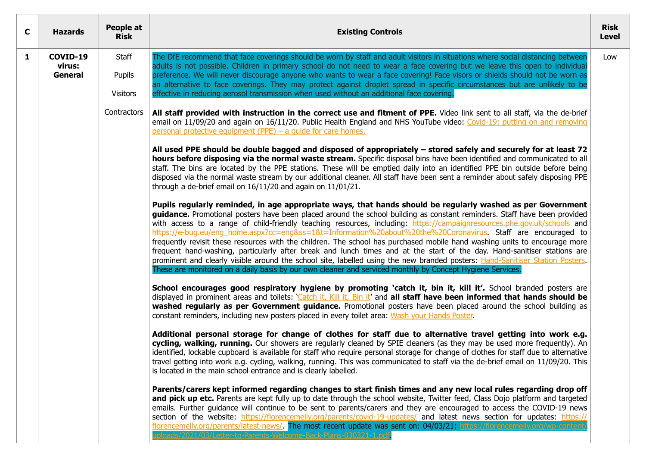| $\mathbf{C}$ | <b>Hazards</b>                | People at<br><b>Risk</b>           | <b>Existing Controls</b>                                                                                                                                                                                                                                                                                                                                                                                                                                                                                                                                                                                                                                                                                                                                                                                                                                                                                                                                                                      | <b>Risk</b><br><b>Level</b> |
|--------------|-------------------------------|------------------------------------|-----------------------------------------------------------------------------------------------------------------------------------------------------------------------------------------------------------------------------------------------------------------------------------------------------------------------------------------------------------------------------------------------------------------------------------------------------------------------------------------------------------------------------------------------------------------------------------------------------------------------------------------------------------------------------------------------------------------------------------------------------------------------------------------------------------------------------------------------------------------------------------------------------------------------------------------------------------------------------------------------|-----------------------------|
| $\mathbf{1}$ | COVID-19<br>virus:<br>General | Staff<br>Pupils<br><b>Visitors</b> | The DfE recommend that face coverings should be worn by staff and adult visitors in situations where social distancing between<br>adults is not possible. Children in primary school do not need to wear a face covering but we leave this open to individual<br>preference. We will never discourage anyone who wants to wear a face covering! Face visors or shields should not be worn as<br>an alternative to face coverings. They may protect against droplet spread in specific circumstances but are unlikely to be<br>effective in reducing aerosol transmission when used without an additional face covering.                                                                                                                                                                                                                                                                                                                                                                       | Low                         |
|              |                               | Contractors                        | All staff provided with instruction in the correct use and fitment of PPE. Video link sent to all staff, via the de-brief<br>email on 11/09/20 and again on 16/11/20. Public Health England and NHS YouTube video: Covid-19: putting on and removing<br>personal protective equipment (PPE) – a quide for care homes.                                                                                                                                                                                                                                                                                                                                                                                                                                                                                                                                                                                                                                                                         |                             |
|              |                               |                                    | All used PPE should be double bagged and disposed of appropriately – stored safely and securely for at least 72<br>hours before disposing via the normal waste stream. Specific disposal bins have been identified and communicated to all<br>staff. The bins are located by the PPE stations. These will be emptied daily into an identified PPE bin outside before being<br>disposed via the normal waste stream by our additional cleaner. All staff have been sent a reminder about safely disposing PPE<br>through a de-brief email on $16/11/20$ and again on $11/01/21$ .                                                                                                                                                                                                                                                                                                                                                                                                              |                             |
|              |                               |                                    | Pupils regularly reminded, in age appropriate ways, that hands should be regularly washed as per Government<br>guidance. Promotional posters have been placed around the school building as constant reminders. Staff have been provided<br>with access to a range of child-friendly teaching resources, including: https://campaignresources.phe.gov.uk/schools and<br>https://e-bug.eu/eng home.aspx?cc=eng&ss=1&t=Information%20about%20the%20Coronavirus. Staff are encouraged to<br>frequently revisit these resources with the children. The school has purchased mobile hand washing units to encourage more<br>frequent hand-washing, particularly after break and lunch times and at the start of the day. Hand-sanitiser stations are<br>prominent and clearly visible around the school site, labelled using the new branded posters: Hand-Sanitiser Station Posters.<br>These are monitored on a daily basis by our own cleaner and serviced monthly by Concept Hygiene Services. |                             |
|              |                               |                                    | School encourages good respiratory hygiene by promoting 'catch it, bin it, kill it'. School branded posters are<br>displayed in prominent areas and toilets: ' <i>Catch it, Kill it, Bin it'</i> and all staff have been informed that hands should be<br>washed regularly as per Government guidance. Promotional posters have been placed around the school building as<br>constant reminders, including new posters placed in every toilet area: Wash your Hands Poster.                                                                                                                                                                                                                                                                                                                                                                                                                                                                                                                   |                             |
|              |                               |                                    | Additional personal storage for change of clothes for staff due to alternative travel getting into work e.g.<br>cycling, walking, running. Our showers are regularly cleaned by SPIE cleaners (as they may be used more frequently). An<br>identified, lockable cupboard is available for staff who require personal storage for change of clothes for staff due to alternative<br>travel getting into work e.g. cycling, walking, running. This was communicated to staff via the de-brief email on 11/09/20. This<br>is located in the main school entrance and is clearly labelled.                                                                                                                                                                                                                                                                                                                                                                                                        |                             |
|              |                               |                                    | Parents/carers kept informed regarding changes to start finish times and any new local rules regarding drop off<br>and pick up etc. Parents are kept fully up to date through the school website, Twitter feed, Class Dojo platform and targeted<br>emails. Further guidance will continue to be sent to parents/carers and they are encouraged to access the COVID-19 news<br>section of the website: https://florencemelly.org/parents/covid-19-updates/ and latest news section for updates: https://<br>florencemelly.org/parents/latest-news/. The most recent update was sent on: 04/03/21: https://florencemelly.org/wp-content<br>oloads/2021/03/Letter-to-Parents-Welcome-Back-Plans-030321-1.pdf                                                                                                                                                                                                                                                                                    |                             |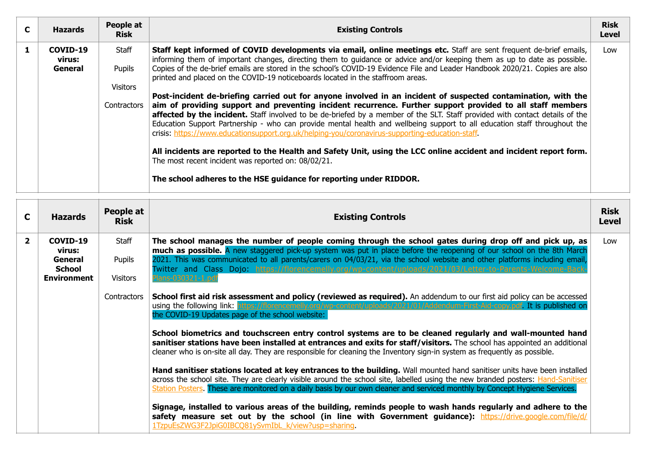| C | <b>Hazards</b>                | People at<br><b>Risk</b>    | <b>Existing Controls</b>                                                                                                                                                                                                                                                                                                                                                                                                                                                                                                                                                                   | <b>Risk</b><br><b>Level</b> |
|---|-------------------------------|-----------------------------|--------------------------------------------------------------------------------------------------------------------------------------------------------------------------------------------------------------------------------------------------------------------------------------------------------------------------------------------------------------------------------------------------------------------------------------------------------------------------------------------------------------------------------------------------------------------------------------------|-----------------------------|
|   | COVID-19<br>virus:<br>General | Staff<br>Pupils<br>Visitors | Staff kept informed of COVID developments via email, online meetings etc. Staff are sent frequent de-brief emails,<br>informing them of important changes, directing them to guidance or advice and/or keeping them as up to date as possible.<br>Copies of the de-brief emails are stored in the school's COVID-19 Evidence File and Leader Handbook 2020/21. Copies are also<br>printed and placed on the COVID-19 noticeboards located in the staffroom areas.                                                                                                                          | Low                         |
|   |                               | Contractors                 | Post-incident de-briefing carried out for anyone involved in an incident of suspected contamination, with the<br>aim of providing support and preventing incident recurrence. Further support provided to all staff members<br>affected by the incident. Staff involved to be de-briefed by a member of the SLT. Staff provided with contact details of the<br>Education Support Partnership - who can provide mental health and wellbeing support to all education staff throughout the<br>crisis: https://www.educationsupport.org.uk/helping-you/coronavirus-supporting-education-staff |                             |
|   |                               |                             | All incidents are reported to the Health and Safety Unit, using the LCC online accident and incident report form.<br>The most recent incident was reported on: 08/02/21.                                                                                                                                                                                                                                                                                                                                                                                                                   |                             |
|   |                               |                             | The school adheres to the HSE guidance for reporting under RIDDOR.                                                                                                                                                                                                                                                                                                                                                                                                                                                                                                                         |                             |

| C            | <b>Hazards</b>                                                       | People at<br><b>Risk</b>           | <b>Existing Controls</b>                                                                                                                                                                                                                                                                                                                                                                                                                                                                                                                                                                                                                                                                                                                                                                                                                                                                                                                                                                                                                                                                                                                                                                                                                                                                                             | <b>Risk</b><br><b>Level</b> |
|--------------|----------------------------------------------------------------------|------------------------------------|----------------------------------------------------------------------------------------------------------------------------------------------------------------------------------------------------------------------------------------------------------------------------------------------------------------------------------------------------------------------------------------------------------------------------------------------------------------------------------------------------------------------------------------------------------------------------------------------------------------------------------------------------------------------------------------------------------------------------------------------------------------------------------------------------------------------------------------------------------------------------------------------------------------------------------------------------------------------------------------------------------------------------------------------------------------------------------------------------------------------------------------------------------------------------------------------------------------------------------------------------------------------------------------------------------------------|-----------------------------|
| $\mathbf{2}$ | COVID-19<br>virus:<br>General<br><b>School</b><br><b>Environment</b> | Staff<br>Pupils<br><b>Visitors</b> | The school manages the number of people coming through the school gates during drop off and pick up, as<br>much as possible. A new staggered pick-up system was put in place before the reopening of our school on the 8th March<br>2021. This was communicated to all parents/carers on 04/03/21, via the school website and other platforms including email,<br>Twitter and Class Dojo https://florencemelly.org/wp-content/uploads/2021/03/Letter-to-Parents-W<br>lans-030321-1.pd                                                                                                                                                                                                                                                                                                                                                                                                                                                                                                                                                                                                                                                                                                                                                                                                                                | Low                         |
|              |                                                                      | Contractors                        | <b>School first aid risk assessment and policy (reviewed as required).</b> An addendum to our first aid policy can be accessed<br>using the following link: https://florencemelly.org/wp-content/uploads/2021/01/Addendum-First-Aid-copy.pdf. It is published on<br>the COVID-19 Updates page of the school website:<br>School biometrics and touchscreen entry control systems are to be cleaned regularly and wall-mounted hand<br>sanitiser stations have been installed at entrances and exits for staff/visitors. The school has appointed an additional<br>cleaner who is on-site all day. They are responsible for cleaning the Inventory sign-in system as frequently as possible.<br>Hand sanitiser stations located at key entrances to the building. Wall mounted hand sanitiser units have been installed<br>across the school site. They are clearly visible around the school site, labelled using the new branded posters: Hand-Sanitiser<br>Station Posters. These are monitored on a daily basis by our own cleaner and serviced monthly by Concept Hygiene Services.<br>Signage, installed to various areas of the building, reminds people to wash hands regularly and adhere to the<br>safety measure set out by the school (in line with Government guidance): https://drive.google.com/file/d/ |                             |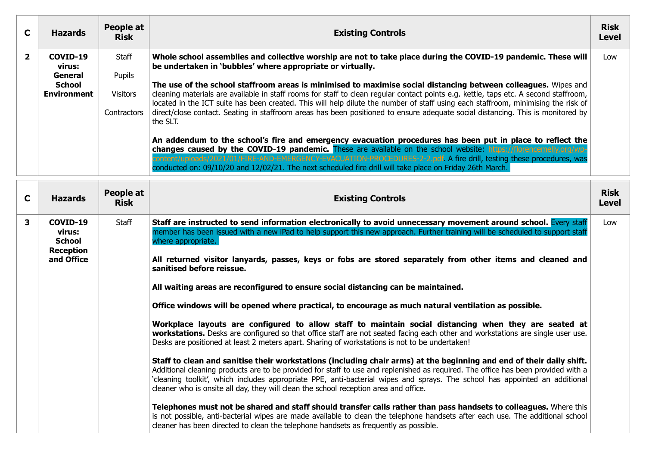|   | <b>Hazards</b>                                                       | People at<br><b>Risk</b>                          | <b>Existing Controls</b>                                                                                                                                                                                                                                                                                                                                                                                                                                                                                                                                                                                                                                                                                                  | <b>Risk</b><br><b>Level</b> |
|---|----------------------------------------------------------------------|---------------------------------------------------|---------------------------------------------------------------------------------------------------------------------------------------------------------------------------------------------------------------------------------------------------------------------------------------------------------------------------------------------------------------------------------------------------------------------------------------------------------------------------------------------------------------------------------------------------------------------------------------------------------------------------------------------------------------------------------------------------------------------------|-----------------------------|
| 2 | COVID-19<br>virus:<br>General<br><b>School</b><br><b>Environment</b> | Staff<br>Pupils<br><b>Visitors</b><br>Contractors | Whole school assemblies and collective worship are not to take place during the COVID-19 pandemic. These will<br>be undertaken in 'bubbles' where appropriate or virtually.<br>The use of the school staffroom areas is minimised to maximise social distancing between colleagues. Wipes and<br>cleaning materials are available in staff rooms for staff to clean regular contact points e.g. kettle, taps etc. A second staffroom,<br>located in the ICT suite has been created. This will help dilute the number of staff using each staffroom, minimising the risk of<br>direct/close contact. Seating in staffroom areas has been positioned to ensure adequate social distancing. This is monitored by<br>the SLT. | Low                         |
|   |                                                                      |                                                   | An addendum to the school's fire and emergency evacuation procedures has been put in place to reflect the<br>changes caused by the COVID-19 pandemic. These are available on the school website: https://florencemelly.org/wp-<br>ntent/uploads/2021/01/FIRE-AND-EMERGENCY-EVACUATION-PROCEDURES-2-2.pdf A fire drill, testing these procedures, was<br>conducted on: 09/10/20 and 12/02/21. The next scheduled fire drill will take place on Friday 26th March.                                                                                                                                                                                                                                                          |                             |

| $\mathbf C$ | <b>Hazards</b>                                          | People at<br><b>Risk</b> | <b>Existing Controls</b>                                                                                                                                                                                                                                                                                                                                                                                                                                                         | <b>Risk</b><br>Level |
|-------------|---------------------------------------------------------|--------------------------|----------------------------------------------------------------------------------------------------------------------------------------------------------------------------------------------------------------------------------------------------------------------------------------------------------------------------------------------------------------------------------------------------------------------------------------------------------------------------------|----------------------|
| 3           | COVID-19<br>virus:<br><b>School</b><br><b>Reception</b> | Staff                    | Staff are instructed to send information electronically to avoid unnecessary movement around school. Every staff<br>member has been issued with a new iPad to help support this new approach. Further training will be scheduled to support staff<br>where appropriate.                                                                                                                                                                                                          | Low                  |
|             | and Office                                              |                          | All returned visitor lanyards, passes, keys or fobs are stored separately from other items and cleaned and<br>sanitised before reissue.                                                                                                                                                                                                                                                                                                                                          |                      |
|             |                                                         |                          | All waiting areas are reconfigured to ensure social distancing can be maintained.                                                                                                                                                                                                                                                                                                                                                                                                |                      |
|             |                                                         |                          | Office windows will be opened where practical, to encourage as much natural ventilation as possible.                                                                                                                                                                                                                                                                                                                                                                             |                      |
|             |                                                         |                          | Workplace layouts are configured to allow staff to maintain social distancing when they are seated at<br>workstations. Desks are configured so that office staff are not seated facing each other and workstations are single user use.<br>Desks are positioned at least 2 meters apart. Sharing of workstations is not to be undertaken!                                                                                                                                        |                      |
|             |                                                         |                          | Staff to clean and sanitise their workstations (including chair arms) at the beginning and end of their daily shift.<br>Additional cleaning products are to be provided for staff to use and replenished as required. The office has been provided with a<br>'cleaning toolkit', which includes appropriate PPE, anti-bacterial wipes and sprays. The school has appointed an additional<br>cleaner who is onsite all day, they will clean the school reception area and office. |                      |
|             |                                                         |                          | Telephones must not be shared and staff should transfer calls rather than pass handsets to colleagues. Where this<br>is not possible, anti-bacterial wipes are made available to clean the telephone handsets after each use. The additional school<br>cleaner has been directed to clean the telephone handsets as frequently as possible.                                                                                                                                      |                      |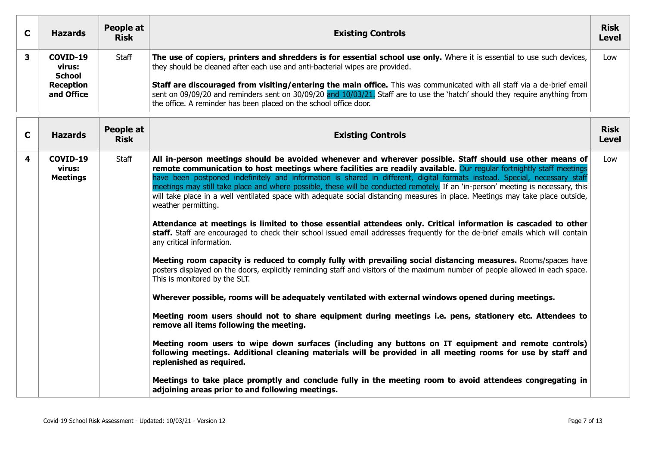| C | <b>Hazards</b>                      | People at<br><b>Risk</b> | <b>Existing Controls</b>                                                                                                                                                                                                                                                                                                     | <b>Risk</b><br><b>Level</b> |
|---|-------------------------------------|--------------------------|------------------------------------------------------------------------------------------------------------------------------------------------------------------------------------------------------------------------------------------------------------------------------------------------------------------------------|-----------------------------|
|   | COVID-19<br>virus:<br><b>School</b> | Staff                    | The use of copiers, printers and shredders is for essential school use only. Where it is essential to use such devices,<br>they should be cleaned after each use and anti-bacterial wipes are provided.                                                                                                                      | Low                         |
|   | <b>Reception</b><br>and Office      |                          | Staff are discouraged from visiting/entering the main office. This was communicated with all staff via a de-brief email<br>sent on 09/09/20 and reminders sent on 30/09/20 and 10/03/21. Staff are to use the 'hatch' should they require anything from<br>the office. A reminder has been placed on the school office door. |                             |

| C | <b>Hazards</b>                        | People at<br><b>Risk</b> | <b>Existing Controls</b>                                                                                                                                                                                                                                                                                                                                                                                                                                                                                                                                                                                                                                    | <b>Risk</b><br><b>Level</b> |
|---|---------------------------------------|--------------------------|-------------------------------------------------------------------------------------------------------------------------------------------------------------------------------------------------------------------------------------------------------------------------------------------------------------------------------------------------------------------------------------------------------------------------------------------------------------------------------------------------------------------------------------------------------------------------------------------------------------------------------------------------------------|-----------------------------|
| 4 | COVID-19<br>virus:<br><b>Meetings</b> | Staff                    | All in-person meetings should be avoided whenever and wherever possible. Staff should use other means of<br>remote communication to host meetings where facilities are readily available. Our regular fortnightly staff meetings<br>have been postponed indefinitely and information is shared in different, digital formats instead. Special, necessary staff<br>meetings may still take place and where possible, these will be conducted remotely. If an 'in-person' meeting is necessary, this<br>will take place in a well ventilated space with adequate social distancing measures in place. Meetings may take place outside,<br>weather permitting. | Low                         |
|   |                                       |                          | Attendance at meetings is limited to those essential attendees only. Critical information is cascaded to other<br>staff. Staff are encouraged to check their school issued email addresses frequently for the de-brief emails which will contain<br>any critical information.                                                                                                                                                                                                                                                                                                                                                                               |                             |
|   |                                       |                          | Meeting room capacity is reduced to comply fully with prevailing social distancing measures. Rooms/spaces have<br>posters displayed on the doors, explicitly reminding staff and visitors of the maximum number of people allowed in each space.<br>This is monitored by the SLT.                                                                                                                                                                                                                                                                                                                                                                           |                             |
|   |                                       |                          | Wherever possible, rooms will be adequately ventilated with external windows opened during meetings.                                                                                                                                                                                                                                                                                                                                                                                                                                                                                                                                                        |                             |
|   |                                       |                          | Meeting room users should not to share equipment during meetings i.e. pens, stationery etc. Attendees to<br>remove all items following the meeting.                                                                                                                                                                                                                                                                                                                                                                                                                                                                                                         |                             |
|   |                                       |                          | Meeting room users to wipe down surfaces (including any buttons on IT equipment and remote controls)<br>following meetings. Additional cleaning materials will be provided in all meeting rooms for use by staff and<br>replenished as required.                                                                                                                                                                                                                                                                                                                                                                                                            |                             |
|   |                                       |                          | Meetings to take place promptly and conclude fully in the meeting room to avoid attendees congregating in<br>adjoining areas prior to and following meetings.                                                                                                                                                                                                                                                                                                                                                                                                                                                                                               |                             |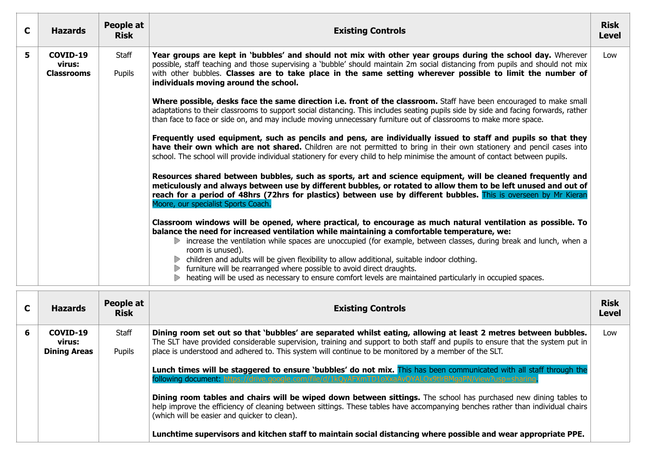| C | <b>Hazards</b>                          | People at<br><b>Risk</b> | <b>Existing Controls</b>                                                                                                                                                                                                                                                                                                                                                                            |     |  |  |  |  |
|---|-----------------------------------------|--------------------------|-----------------------------------------------------------------------------------------------------------------------------------------------------------------------------------------------------------------------------------------------------------------------------------------------------------------------------------------------------------------------------------------------------|-----|--|--|--|--|
| 5 | COVID-19<br>virus:<br><b>Classrooms</b> | Staff<br>Pupils          | Year groups are kept in 'bubbles' and should not mix with other year groups during the school day. Wherever<br>possible, staff teaching and those supervising a 'bubble' should maintain 2m social distancing from pupils and should not mix<br>with other bubbles. Classes are to take place in the same setting wherever possible to limit the number of<br>individuals moving around the school. | Low |  |  |  |  |
|   |                                         |                          | Where possible, desks face the same direction i.e. front of the classroom. Staff have been encouraged to make small<br>adaptations to their classrooms to support social distancing. This includes seating pupils side by side and facing forwards, rather<br>than face to face or side on, and may include moving unnecessary furniture out of classrooms to make more space.                      |     |  |  |  |  |
|   |                                         |                          | Frequently used equipment, such as pencils and pens, are individually issued to staff and pupils so that they<br>have their own which are not shared. Children are not permitted to bring in their own stationery and pencil cases into<br>school. The school will provide individual stationery for every child to help minimise the amount of contact between pupils.                             |     |  |  |  |  |
|   |                                         |                          | Resources shared between bubbles, such as sports, art and science equipment, will be cleaned frequently and<br>meticulously and always between use by different bubbles, or rotated to allow them to be left unused and out of<br>reach for a period of 48hrs (72hrs for plastics) between use by different bubbles. This is overseen by Mr Kieran<br>Moore, our specialist Sports Coach.           |     |  |  |  |  |
|   |                                         |                          | Classroom windows will be opened, where practical, to encourage as much natural ventilation as possible. To<br>balance the need for increased ventilation while maintaining a comfortable temperature, we:<br>increase the ventilation while spaces are unoccupied (for example, between classes, during break and lunch, when a<br>D<br>room is unused).                                           |     |  |  |  |  |
|   |                                         |                          | $\triangleright$ children and adults will be given flexibility to allow additional, suitable indoor clothing.<br>furniture will be rearranged where possible to avoid direct draughts.<br>▶ heating will be used as necessary to ensure comfort levels are maintained particularly in occupied spaces.                                                                                              |     |  |  |  |  |

| C | <b>Hazards</b>                            | People at<br><b>Risk</b> | <b>Existing Controls</b>                                                                                                                                                                                                                                                                                                                                                                                                                                                                                                                                                                                                                                                                                                                                                                                                                         | <b>Risk</b><br><b>Level</b> |
|---|-------------------------------------------|--------------------------|--------------------------------------------------------------------------------------------------------------------------------------------------------------------------------------------------------------------------------------------------------------------------------------------------------------------------------------------------------------------------------------------------------------------------------------------------------------------------------------------------------------------------------------------------------------------------------------------------------------------------------------------------------------------------------------------------------------------------------------------------------------------------------------------------------------------------------------------------|-----------------------------|
| 6 | COVID-19<br>virus:<br><b>Dining Areas</b> | Staff<br>Pupils          | Dining room set out so that 'bubbles' are separated whilst eating, allowing at least 2 metres between bubbles.<br>The SLT have provided considerable supervision, training and support to both staff and pupils to ensure that the system put in<br>place is understood and adhered to. This system will continue to be monitored by a member of the SLT.<br>Lunch times will be staggered to ensure 'bubbles' do not mix. This has been communicated with all staff through the<br>following document: https://drive.google.com/file/d/1kOyAFXmTD1oXxaAyOYALOx9tlrBMgaPN/view?usp=sharing<br>Dining room tables and chairs will be wiped down between sittings. The school has purchased new dining tables to<br>help improve the efficiency of cleaning between sittings. These tables have accompanying benches rather than individual chairs | Low                         |
|   |                                           |                          | (which will be easier and quicker to clean).<br>Lunchtime supervisors and kitchen staff to maintain social distancing where possible and wear appropriate PPE.                                                                                                                                                                                                                                                                                                                                                                                                                                                                                                                                                                                                                                                                                   |                             |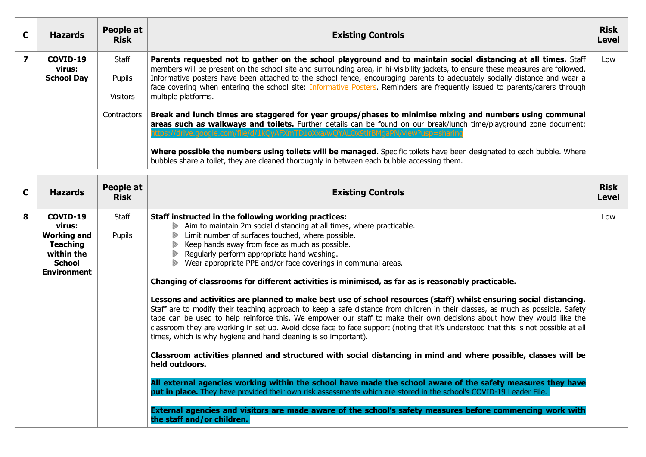| <b>Hazards</b>                          | People at<br><b>Risk</b>           | <b>Existing Controls</b>                                                                                                                                                                                                                                                                                                                                                                                                                                                                                                                |     |  |  |  |  |
|-----------------------------------------|------------------------------------|-----------------------------------------------------------------------------------------------------------------------------------------------------------------------------------------------------------------------------------------------------------------------------------------------------------------------------------------------------------------------------------------------------------------------------------------------------------------------------------------------------------------------------------------|-----|--|--|--|--|
| COVID-19<br>virus:<br><b>School Day</b> | Staff<br>Pupils<br><b>Visitors</b> | Parents requested not to gather on the school playground and to maintain social distancing at all times. Staff<br>members will be present on the school site and surrounding area, in hi-visibility jackets, to ensure these measures are followed.<br>Informative posters have been attached to the school fence, encouraging parents to adequately socially distance and wear a<br>face covering when entering the school site: Informative Posters. Reminders are frequently issued to parents/carers through<br>multiple platforms. | Low |  |  |  |  |
|                                         | Contractors                        | Break and lunch times are staggered for year groups/phases to minimise mixing and numbers using communal<br>areas such as walkways and toilets. Further details can be found on our break/lunch time/playground zone document:<br>s://drive.google.com/file/d/1kOvAEXmTD1oXxaAvOYALOx9tlrBMgaPN/view?usp=sha<br>Where possible the numbers using toilets will be managed. Specific toilets have been designated to each bubble. Where<br>bubbles share a toilet, they are cleaned thoroughly in between each bubble accessing them.     |     |  |  |  |  |

| C | <b>Hazards</b>                                                                                                   | People at<br><b>Risk</b> | <b>Existing Controls</b>                                                                                                                                                                                                                                                                                                                                                                                                                                                                                                                                                                                                                                                                                                                                                                                                                                                                                                                                                                                                                                                                                                                                                                                                                                                                                                                                                                                                                                                                                                                                                                                                   |     |  |  |
|---|------------------------------------------------------------------------------------------------------------------|--------------------------|----------------------------------------------------------------------------------------------------------------------------------------------------------------------------------------------------------------------------------------------------------------------------------------------------------------------------------------------------------------------------------------------------------------------------------------------------------------------------------------------------------------------------------------------------------------------------------------------------------------------------------------------------------------------------------------------------------------------------------------------------------------------------------------------------------------------------------------------------------------------------------------------------------------------------------------------------------------------------------------------------------------------------------------------------------------------------------------------------------------------------------------------------------------------------------------------------------------------------------------------------------------------------------------------------------------------------------------------------------------------------------------------------------------------------------------------------------------------------------------------------------------------------------------------------------------------------------------------------------------------------|-----|--|--|
| 8 | COVID-19<br>virus:<br><b>Working and</b><br><b>Teaching</b><br>within the<br><b>School</b><br><b>Environment</b> | Staff<br>Pupils          | Staff instructed in the following working practices:<br>Aim to maintain 2m social distancing at all times, where practicable.<br>Limit number of surfaces touched, where possible.<br>Keep hands away from face as much as possible.<br>D<br>Regularly perform appropriate hand washing.<br>$\triangleright$<br>Wear appropriate PPE and/or face coverings in communal areas.<br>$\triangleright$<br>Changing of classrooms for different activities is minimised, as far as is reasonably practicable.<br>Lessons and activities are planned to make best use of school resources (staff) whilst ensuring social distancing.<br>Staff are to modify their teaching approach to keep a safe distance from children in their classes, as much as possible. Safety<br>tape can be used to help reinforce this. We empower our staff to make their own decisions about how they would like the<br>classroom they are working in set up. Avoid close face to face support (noting that it's understood that this is not possible at all<br>times, which is why hygiene and hand cleaning is so important).<br>Classroom activities planned and structured with social distancing in mind and where possible, classes will be<br>held outdoors.<br>All external agencies working within the school have made the school aware of the safety measures they have<br>put in place. They have provided their own risk assessments which are stored in the school's COVID-19 Leader File.<br>External agencies and visitors are made aware of the school's safety measures before commencing work with<br>the staff and/or children. | Low |  |  |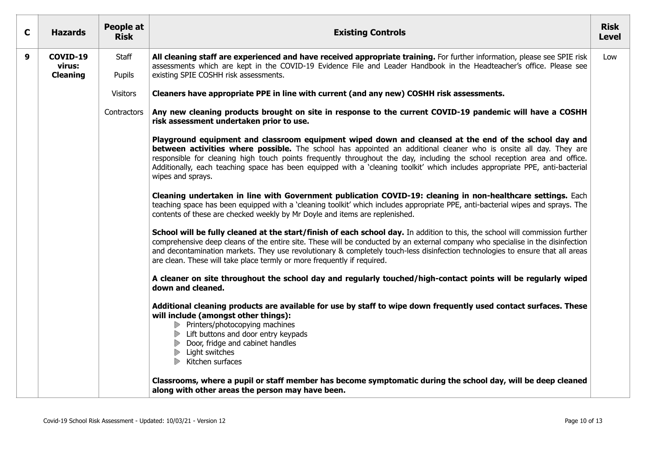| C | <b>Hazards</b>                        | People at<br><b>Risk</b>                                                                                                                                                                                                                                                                                     | <b>Existing Controls</b>                                                                                                                                                                                                                                                                                                                                                                                                                                                                                     |     |  |  |  |
|---|---------------------------------------|--------------------------------------------------------------------------------------------------------------------------------------------------------------------------------------------------------------------------------------------------------------------------------------------------------------|--------------------------------------------------------------------------------------------------------------------------------------------------------------------------------------------------------------------------------------------------------------------------------------------------------------------------------------------------------------------------------------------------------------------------------------------------------------------------------------------------------------|-----|--|--|--|
| 9 | COVID-19<br>virus:<br><b>Cleaning</b> | Staff<br>All cleaning staff are experienced and have received appropriate training. For further information, please see SPIE risk<br>assessments which are kept in the COVID-19 Evidence File and Leader Handbook in the Headteacher's office. Please see<br>Pupils<br>existing SPIE COSHH risk assessments. |                                                                                                                                                                                                                                                                                                                                                                                                                                                                                                              | Low |  |  |  |
|   |                                       | <b>Visitors</b>                                                                                                                                                                                                                                                                                              | Cleaners have appropriate PPE in line with current (and any new) COSHH risk assessments.                                                                                                                                                                                                                                                                                                                                                                                                                     |     |  |  |  |
|   |                                       | Contractors                                                                                                                                                                                                                                                                                                  | Any new cleaning products brought on site in response to the current COVID-19 pandemic will have a COSHH<br>risk assessment undertaken prior to use.                                                                                                                                                                                                                                                                                                                                                         |     |  |  |  |
|   |                                       |                                                                                                                                                                                                                                                                                                              | Playground equipment and classroom equipment wiped down and cleansed at the end of the school day and<br>between activities where possible. The school has appointed an additional cleaner who is onsite all day. They are<br>responsible for cleaning high touch points frequently throughout the day, including the school reception area and office.<br>Additionally, each teaching space has been equipped with a 'cleaning toolkit' which includes appropriate PPE, anti-bacterial<br>wipes and sprays. |     |  |  |  |
|   |                                       |                                                                                                                                                                                                                                                                                                              | Cleaning undertaken in line with Government publication COVID-19: cleaning in non-healthcare settings. Each<br>teaching space has been equipped with a 'cleaning toolkit' which includes appropriate PPE, anti-bacterial wipes and sprays. The<br>contents of these are checked weekly by Mr Doyle and items are replenished.                                                                                                                                                                                |     |  |  |  |
|   |                                       |                                                                                                                                                                                                                                                                                                              | School will be fully cleaned at the start/finish of each school day. In addition to this, the school will commission further<br>comprehensive deep cleans of the entire site. These will be conducted by an external company who specialise in the disinfection<br>and decontamination markets. They use revolutionary & completely touch-less disinfection technologies to ensure that all areas<br>are clean. These will take place termly or more frequently if required.                                 |     |  |  |  |
|   |                                       |                                                                                                                                                                                                                                                                                                              | A cleaner on site throughout the school day and regularly touched/high-contact points will be regularly wiped<br>down and cleaned.                                                                                                                                                                                                                                                                                                                                                                           |     |  |  |  |
|   |                                       |                                                                                                                                                                                                                                                                                                              | Additional cleaning products are available for use by staff to wipe down frequently used contact surfaces. These<br>will include (amongst other things):<br>Printers/photocopying machines<br>Lift buttons and door entry keypads<br>Door, fridge and cabinet handles<br>Light switches<br>$\triangleright$ Kitchen surfaces                                                                                                                                                                                 |     |  |  |  |
|   |                                       |                                                                                                                                                                                                                                                                                                              | Classrooms, where a pupil or staff member has become symptomatic during the school day, will be deep cleaned<br>along with other areas the person may have been.                                                                                                                                                                                                                                                                                                                                             |     |  |  |  |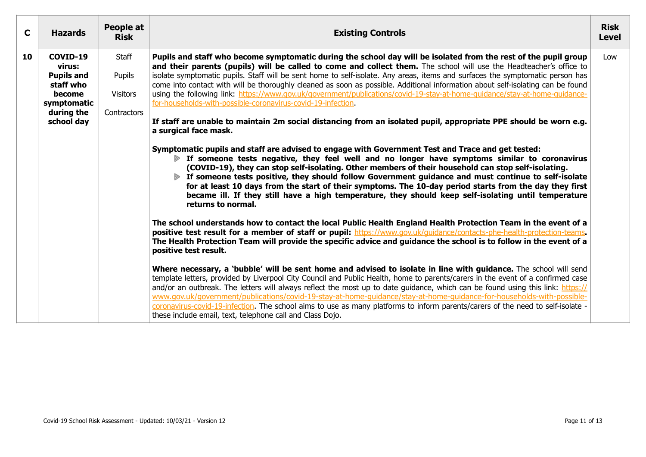| $\mathbf{C}$ | <b>Hazards</b>                                                                                            | People at<br><b>Risk</b>                          | <b>Risk</b><br><b>Existing Controls</b><br><b>Level</b>                                                                                                                                                                                                                                                                                                                                                                                                                                                                                                                                                                                                                                                                                                                                                                                                                                                                                                                                                                                                                                                                                                                                                                                                                                                                                                                                                                                                                                                                                                                                                                                                                                                                                                                                                                                                                                                                                                                                                                                                                                                                                                                                                                                                                                                                                                                                                                                                                                                                                                                                                                        |     |  |  |  |  |
|--------------|-----------------------------------------------------------------------------------------------------------|---------------------------------------------------|--------------------------------------------------------------------------------------------------------------------------------------------------------------------------------------------------------------------------------------------------------------------------------------------------------------------------------------------------------------------------------------------------------------------------------------------------------------------------------------------------------------------------------------------------------------------------------------------------------------------------------------------------------------------------------------------------------------------------------------------------------------------------------------------------------------------------------------------------------------------------------------------------------------------------------------------------------------------------------------------------------------------------------------------------------------------------------------------------------------------------------------------------------------------------------------------------------------------------------------------------------------------------------------------------------------------------------------------------------------------------------------------------------------------------------------------------------------------------------------------------------------------------------------------------------------------------------------------------------------------------------------------------------------------------------------------------------------------------------------------------------------------------------------------------------------------------------------------------------------------------------------------------------------------------------------------------------------------------------------------------------------------------------------------------------------------------------------------------------------------------------------------------------------------------------------------------------------------------------------------------------------------------------------------------------------------------------------------------------------------------------------------------------------------------------------------------------------------------------------------------------------------------------------------------------------------------------------------------------------------------------|-----|--|--|--|--|
| 10           | COVID-19<br>virus:<br><b>Pupils and</b><br>staff who<br>become<br>symptomatic<br>during the<br>school day | Staff<br>Pupils<br><b>Visitors</b><br>Contractors | Pupils and staff who become symptomatic during the school day will be isolated from the rest of the pupil group<br>and their parents (pupils) will be called to come and collect them. The school will use the Headteacher's office to<br>isolate symptomatic pupils. Staff will be sent home to self-isolate. Any areas, items and surfaces the symptomatic person has<br>come into contact with will be thoroughly cleaned as soon as possible. Additional information about self-isolating can be found<br>using the following link: https://www.gov.uk/government/publications/covid-19-stay-at-home-guidance/stay-at-home-guidance-<br>for-households-with-possible-coronavirus-covid-19-infection.<br>If staff are unable to maintain 2m social distancing from an isolated pupil, appropriate PPE should be worn e.g.<br>a surgical face mask.<br>Symptomatic pupils and staff are advised to engage with Government Test and Trace and get tested:<br>If someone tests negative, they feel well and no longer have symptoms similar to coronavirus<br>(COVID-19), they can stop self-isolating. Other members of their household can stop self-isolating.<br>If someone tests positive, they should follow Government guidance and must continue to self-isolate<br>for at least 10 days from the start of their symptoms. The 10-day period starts from the day they first<br>became ill. If they still have a high temperature, they should keep self-isolating until temperature<br>returns to normal.<br>The school understands how to contact the local Public Health England Health Protection Team in the event of a<br>positive test result for a member of staff or pupil: https://www.gov.uk/guidance/contacts-phe-health-protection-teams.<br>The Health Protection Team will provide the specific advice and guidance the school is to follow in the event of a<br>positive test result.<br>Where necessary, a 'bubble' will be sent home and advised to isolate in line with guidance. The school will send<br>template letters, provided by Liverpool City Council and Public Health, home to parents/carers in the event of a confirmed case<br>and/or an outbreak. The letters will always reflect the most up to date guidance, which can be found using this link: https://<br>www.gov.uk/government/publications/covid-19-stay-at-home-guidance/stay-at-home-guidance-for-households-with-possible-<br>coronavirus-covid-19-infection. The school aims to use as many platforms to inform parents/carers of the need to self-isolate -<br>these include email, text, telephone call and Class Dojo. | Low |  |  |  |  |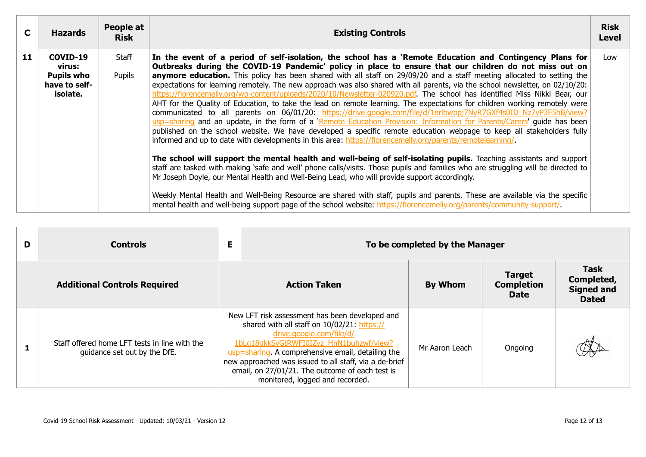| C  | <b>Hazards</b>                                                       | People at<br><b>Risk</b> | <b>Existing Controls</b>                                                                                                                                                                                                                                                                                                                                                                                                                                                                                                                                                                                                                                                                                                                                                                                                                                                                                                                                                                                                                                                                                                                                                                                                                                                                                                                                                                                                                                                                                                                                                                                                                                                                                                                                                                                                                             |     |  |  |  |  |
|----|----------------------------------------------------------------------|--------------------------|------------------------------------------------------------------------------------------------------------------------------------------------------------------------------------------------------------------------------------------------------------------------------------------------------------------------------------------------------------------------------------------------------------------------------------------------------------------------------------------------------------------------------------------------------------------------------------------------------------------------------------------------------------------------------------------------------------------------------------------------------------------------------------------------------------------------------------------------------------------------------------------------------------------------------------------------------------------------------------------------------------------------------------------------------------------------------------------------------------------------------------------------------------------------------------------------------------------------------------------------------------------------------------------------------------------------------------------------------------------------------------------------------------------------------------------------------------------------------------------------------------------------------------------------------------------------------------------------------------------------------------------------------------------------------------------------------------------------------------------------------------------------------------------------------------------------------------------------------|-----|--|--|--|--|
| 11 | COVID-19<br>virus:<br><b>Pupils who</b><br>have to self-<br>isolate. | Staff<br>Pupils          | In the event of a period of self-isolation, the school has a 'Remote Education and Contingency Plans for<br>Outbreaks during the COVID-19 Pandemic' policy in place to ensure that our children do not miss out on<br>anymore education. This policy has been shared with all staff on 29/09/20 and a staff meeting allocated to setting the<br>expectations for learning remotely. The new approach was also shared with all parents, via the school newsletter, on 02/10/20:<br>https://florencemelly.org/wp-content/uploads/2020/10/Newsletter-020920.pdf. The school has identified Miss Nikki Bear, our<br>AHT for the Quality of Education, to take the lead on remote learning. The expectations for children working remotely were<br>communicated to all parents on 06/01/20: https://drive.google.com/file/d/1erlbwppj7NyR7GXf4s0ID Nz7vP3F5hB/view?<br>usp=sharing and an update, in the form of a 'Remote Education Provision: Information for Parents/Carers' guide has been<br>published on the school website. We have developed a specific remote education webpage to keep all stakeholders fully<br>informed and up to date with developments in this area: https://florencemelly.org/parents/remotelearning/<br>The school will support the mental health and well-being of self-isolating pupils. Teaching assistants and support<br>staff are tasked with making 'safe and well' phone calls/visits. Those pupils and families who are struggling will be directed to<br>Mr Joseph Doyle, our Mental Health and Well-Being Lead, who will provide support accordingly.<br>Weekly Mental Health and Well-Being Resource are shared with staff, pupils and parents. These are available via the specific<br>mental health and well-being support page of the school website: https://florencemelly.org/parents/community-support/ | Low |  |  |  |  |

| D                                   | <b>Controls</b>                                                               |  | E<br>To be completed by the Manager                                                                                                                                                                                                                                                                                                                                       |                |                                                   |                                                                |
|-------------------------------------|-------------------------------------------------------------------------------|--|---------------------------------------------------------------------------------------------------------------------------------------------------------------------------------------------------------------------------------------------------------------------------------------------------------------------------------------------------------------------------|----------------|---------------------------------------------------|----------------------------------------------------------------|
| <b>Additional Controls Required</b> |                                                                               |  | <b>Action Taken</b>                                                                                                                                                                                                                                                                                                                                                       | <b>By Whom</b> | <b>Target</b><br><b>Completion</b><br><b>Date</b> | <b>Task</b><br>Completed,<br><b>Signed and</b><br><b>Dated</b> |
|                                     | Staff offered home LFT tests in line with the<br>guidance set out by the DfE. |  | New LFT risk assessment has been developed and<br>shared with all staff on 10/02/21: https://<br>drive.google.com/file/d/<br>1bLq18qkkSyGtRWFI0IZyz HnN1buhzwf/view?<br>usp=sharing. A comprehensive email, detailing the<br>new approached was issued to all staff, via a de-brief<br>email, on 27/01/21. The outcome of each test is<br>monitored, logged and recorded. | Mr Aaron Leach | Ongoing                                           |                                                                |